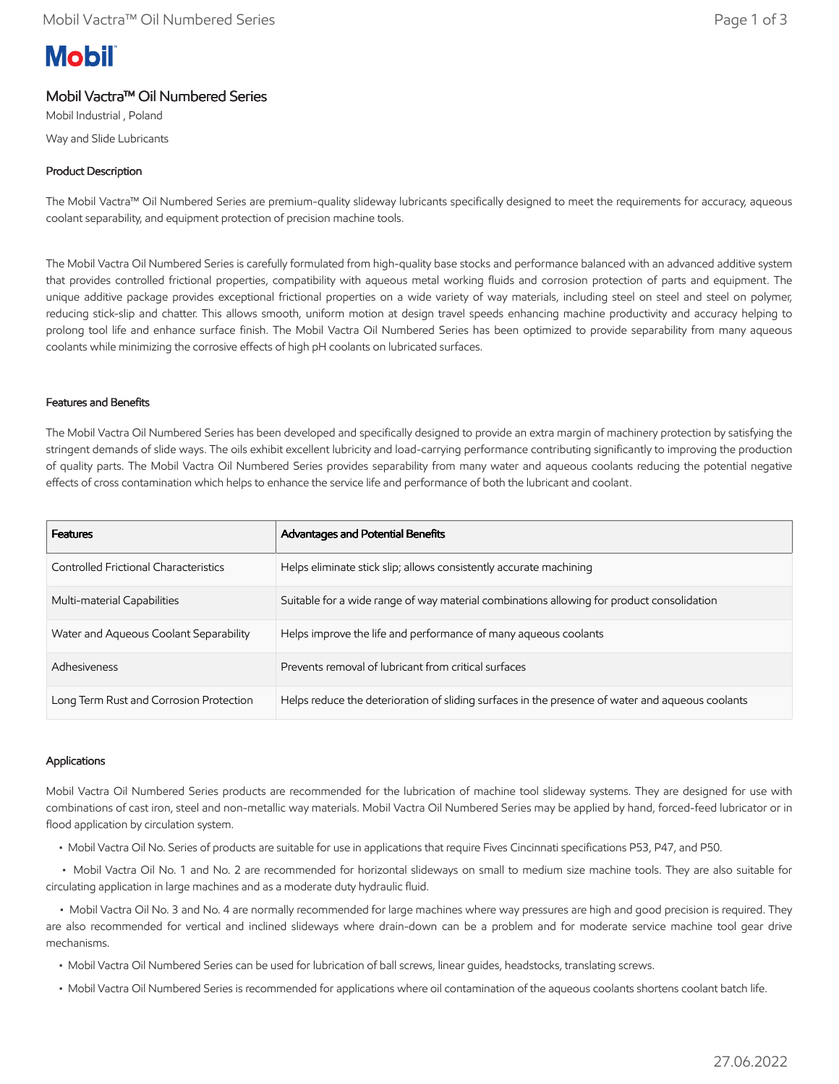# **Mobil**

# Mobil Vactra™ Oil Numbered Series

Mobil Industrial , Poland Way and Slide Lubricants

## Product Description

The Mobil Vactra™ Oil Numbered Series are premium-quality slideway lubricants specifically designed to meet the requirements for accuracy, aqueous coolant separability, and equipment protection of precision machine tools.

The Mobil Vactra Oil Numbered Series is carefully formulated from high-quality base stocks and performance balanced with an advanced additive system that provides controlled frictional properties, compatibility with aqueous metal working fluids and corrosion protection of parts and equipment. The unique additive package provides exceptional frictional properties on a wide variety of way materials, including steel on steel and steel on polymer, reducing stick-slip and chatter. This allows smooth, uniform motion at design travel speeds enhancing machine productivity and accuracy helping to prolong tool life and enhance surface finish. The Mobil Vactra Oil Numbered Series has been optimized to provide separability from many aqueous coolants while minimizing the corrosive effects of high pH coolants on lubricated surfaces.

#### Features and Benefits

The Mobil Vactra Oil Numbered Series has been developed and specifically designed to provide an extra margin of machinery protection by satisfying the stringent demands of slide ways. The oils exhibit excellent lubricity and load-carrying performance contributing significantly to improving the production of quality parts. The Mobil Vactra Oil Numbered Series provides separability from many water and aqueous coolants reducing the potential negative effects of cross contamination which helps to enhance the service life and performance of both the lubricant and coolant.

| <b>Features</b>                         | Advantages and Potential Benefits                                                                |
|-----------------------------------------|--------------------------------------------------------------------------------------------------|
| Controlled Frictional Characteristics   | Helps eliminate stick slip; allows consistently accurate machining                               |
| Multi-material Capabilities             | Suitable for a wide range of way material combinations allowing for product consolidation        |
| Water and Aqueous Coolant Separability  | Helps improve the life and performance of many aqueous coolants                                  |
| Adhesiveness                            | Prevents removal of lubricant from critical surfaces                                             |
| Long Term Rust and Corrosion Protection | Helps reduce the deterioration of sliding surfaces in the presence of water and aqueous coolants |

#### Applications

Mobil Vactra Oil Numbered Series products are recommended for the lubrication of machine tool slideway systems. They are designed for use with combinations of cast iron, steel and non-metallic way materials. Mobil Vactra Oil Numbered Series may be applied by hand, forced-feed lubricator or in flood application by circulation system.

• Mobil Vactra Oil No. Series of products are suitable for use in applications that require Fives Cincinnati specifications P53, P47, and P50.

 • Mobil Vactra Oil No. 1 and No. 2 are recommended for horizontal slideways on small to medium size machine tools. They are also suitable for circulating application in large machines and as a moderate duty hydraulic fluid.

 • Mobil Vactra Oil No. 3 and No. 4 are normally recommended for large machines where way pressures are high and good precision is required. They are also recommended for vertical and inclined slideways where drain-down can be a problem and for moderate service machine tool gear drive mechanisms.

- Mobil Vactra Oil Numbered Series can be used for lubrication of ball screws, linear guides, headstocks, translating screws.
- Mobil Vactra Oil Numbered Series is recommended for applications where oil contamination of the aqueous coolants shortens coolant batch life.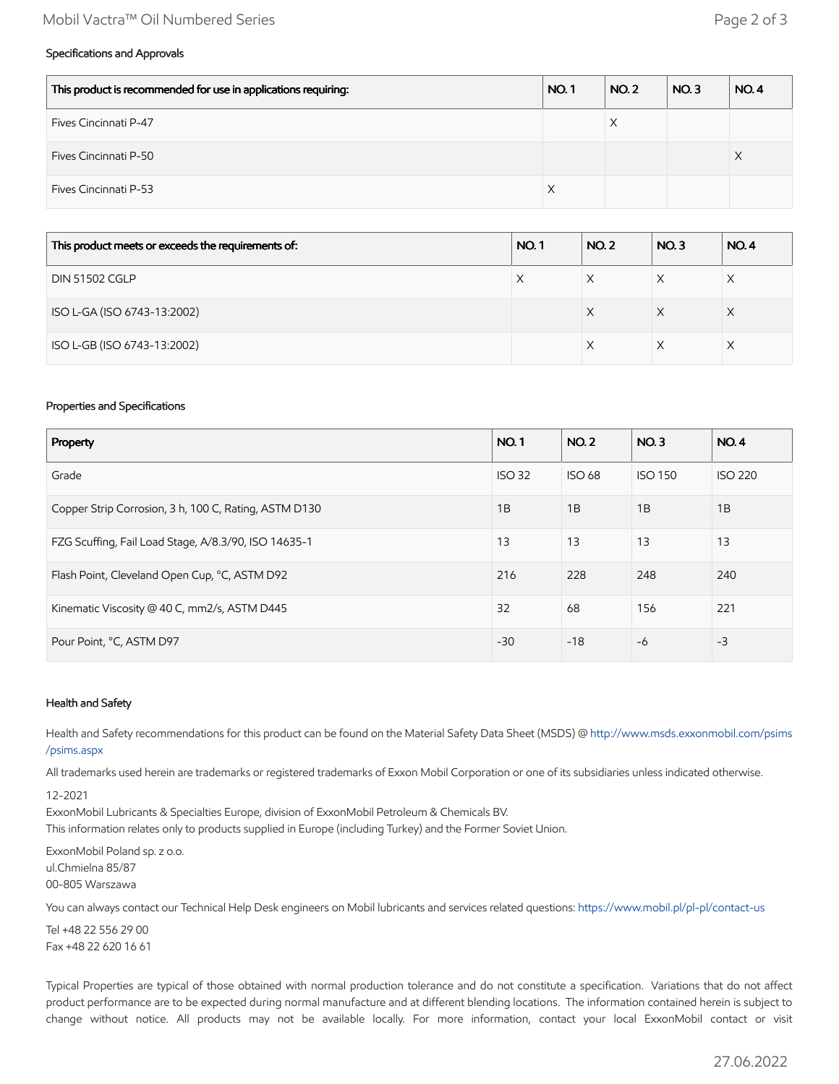### Mobil Vactra™ Oil Numbered Series Page 2 of 3

## Specifications and Approvals

| This product is recommended for use in applications requiring: | <b>NO.1</b> | <b>NO. 2</b> | NO.3 | NO.4 |
|----------------------------------------------------------------|-------------|--------------|------|------|
| Fives Cincinnati P-47                                          |             | X            |      |      |
| Fives Cincinnati P-50                                          |             |              |      | ∧    |
| Fives Cincinnati P-53                                          | X           |              |      |      |

| This product meets or exceeds the requirements of: | <b>NO.1</b> | <b>NO.2</b> | NO.3 | <b>NO.4</b> |
|----------------------------------------------------|-------------|-------------|------|-------------|
| <b>DIN 51502 CGLP</b>                              | X           |             |      |             |
| ISO L-GA (ISO 6743-13:2002)                        |             | X           | X    | X           |
| ISO L-GB (ISO 6743-13:2002)                        |             |             |      |             |

#### Properties and Specifications

| Property                                              |               | <b>NO.2</b>   | NO.3           | <b>NO.4</b>    |
|-------------------------------------------------------|---------------|---------------|----------------|----------------|
| Grade                                                 | <b>ISO 32</b> | <b>ISO 68</b> | <b>ISO 150</b> | <b>ISO 220</b> |
| Copper Strip Corrosion, 3 h, 100 C, Rating, ASTM D130 | 1B            | 1B            | 1B             | 1B             |
| FZG Scuffing, Fail Load Stage, A/8.3/90, ISO 14635-1  | 13            | 13            | 13             | 13             |
| Flash Point, Cleveland Open Cup, °C, ASTM D92         | 216           | 228           | 248            | 240            |
| Kinematic Viscosity @ 40 C, mm2/s, ASTM D445          | 32            | 68            | 156            | 221            |
| Pour Point, °C, ASTM D97                              | $-30$         | $-18$         | $-6$           | $-3$           |

#### Health and Safety

Health and Safety recommendations for this product can be found on the Material Safety Data Sheet (MSDS) @ [http://www.msds.exxonmobil.com/psims](http://www.msds.exxonmobil.com/psims/psims.aspx) /psims.aspx

All trademarks used herein are trademarks or registered trademarks of Exxon Mobil Corporation or one of its subsidiaries unless indicated otherwise.

12-2021

ExxonMobil Lubricants & Specialties Europe, division of ExxonMobil Petroleum & Chemicals BV. This information relates only to products supplied in Europe (including Turkey) and the Former Soviet Union.

ExxonMobil Poland sp. z o.o. ul.Chmielna 85/87 00-805 Warszawa

You can always contact our Technical Help Desk engineers on Mobil lubricants and services related questions:<https://www.mobil.pl/pl-pl/contact-us>

Tel +48 22 556 29 00 Fax +48 22 620 16 61

Typical Properties are typical of those obtained with normal production tolerance and do not constitute a specification. Variations that do not affect product performance are to be expected during normal manufacture and at different blending locations. The information contained herein is subject to change without notice. All products may not be available locally. For more information, contact your local ExxonMobil contact or visit